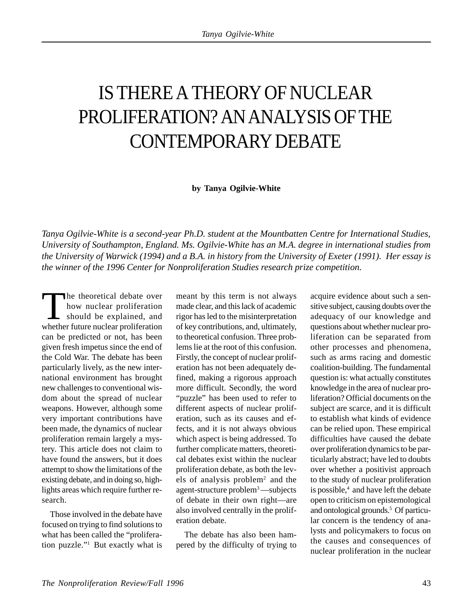# IS THERE A THEORY OF NUCLEAR PROLIFERATION? AN ANALYSIS OF THE CONTEMPORARY DEBATE

**by Tanya Ogilvie-White**

*Tanya Ogilvie-White is a second-year Ph.D. student at the Mountbatten Centre for International Studies, University of Southampton, England. Ms. Ogilvie-White has an M.A. degree in international studies from the University of Warwick (1994) and a B.A. in history from the University of Exeter (1991). Her essay is the winner of the 1996 Center for Nonproliferation Studies research prize competition.*

The theoretical debate over<br>how nuclear proliferation<br>should be explained, and<br>whether future nuclear proliferation how nuclear proliferation should be explained, and whether future nuclear proliferation can be predicted or not, has been given fresh impetus since the end of the Cold War. The debate has been particularly lively, as the new international environment has brought new challenges to conventional wisdom about the spread of nuclear weapons. However, although some very important contributions have been made, the dynamics of nuclear proliferation remain largely a mystery. This article does not claim to have found the answers, but it does attempt to show the limitations of the existing debate, and in doing so, highlights areas which require further research.

Those involved in the debate have focused on trying to find solutions to what has been called the "proliferation puzzle."1 But exactly what is

meant by this term is not always made clear, and this lack of academic rigor has led to the misinterpretation of key contributions, and, ultimately, to theoretical confusion. Three problems lie at the root of this confusion. Firstly, the concept of nuclear proliferation has not been adequately defined, making a rigorous approach more difficult. Secondly, the word "puzzle" has been used to refer to different aspects of nuclear proliferation, such as its causes and effects, and it is not always obvious which aspect is being addressed. To further complicate matters, theoretical debates exist within the nuclear proliferation debate, as both the levels of analysis problem<sup>2</sup> and the agent-structure problem3—subjects of debate in their own right—are also involved centrally in the proliferation debate.

The debate has also been hampered by the difficulty of trying to

acquire evidence about such a sensitive subject, causing doubts over the adequacy of our knowledge and questions about whether nuclear proliferation can be separated from other processes and phenomena, such as arms racing and domestic coalition-building. The fundamental question is: what actually constitutes knowledge in the area of nuclear proliferation? Official documents on the subject are scarce, and it is difficult to establish what kinds of evidence can be relied upon. These empirical difficulties have caused the debate over proliferation dynamics to be particularly abstract; have led to doubts over whether a positivist approach to the study of nuclear proliferation is possible,<sup>4</sup> and have left the debate open to criticism on epistemological and ontological grounds.5 Of particular concern is the tendency of analysts and policymakers to focus on the causes and consequences of nuclear proliferation in the nuclear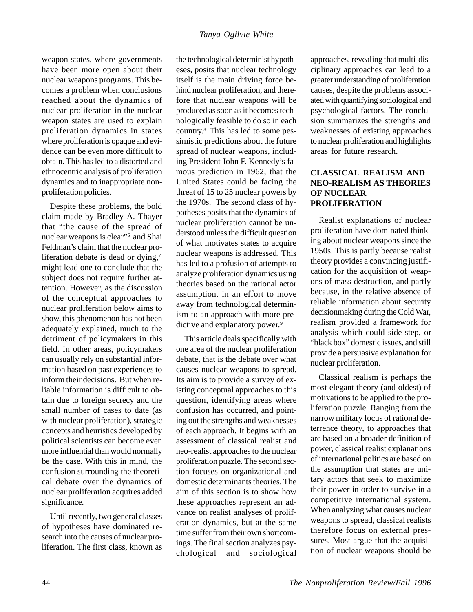weapon states, where governments have been more open about their nuclear weapons programs. This becomes a problem when conclusions reached about the dynamics of nuclear proliferation in the nuclear weapon states are used to explain proliferation dynamics in states where proliferation is opaque and evidence can be even more difficult to obtain. This has led to a distorted and ethnocentric analysis of proliferation dynamics and to inappropriate nonproliferation policies.

Despite these problems, the bold claim made by Bradley A. Thayer that "the cause of the spread of nuclear weapons is clear"6 and Shai Feldman's claim that the nuclear proliferation debate is dead or dying, $<sup>7</sup>$ </sup> might lead one to conclude that the subject does not require further attention. However, as the discussion of the conceptual approaches to nuclear proliferation below aims to show, this phenomenon has not been adequately explained, much to the detriment of policymakers in this field. In other areas, policymakers can usually rely on substantial information based on past experiences to inform their decisions. But when reliable information is difficult to obtain due to foreign secrecy and the small number of cases to date (as with nuclear proliferation), strategic concepts and heuristics developed by political scientists can become even more influential than would normally be the case. With this in mind, the confusion surrounding the theoretical debate over the dynamics of nuclear proliferation acquires added significance.

Until recently, two general classes of hypotheses have dominated research into the causes of nuclear proliferation. The first class, known as

the technological determinist hypotheses, posits that nuclear technology itself is the main driving force behind nuclear proliferation, and therefore that nuclear weapons will be produced as soon as it becomes technologically feasible to do so in each country.8 This has led to some pessimistic predictions about the future spread of nuclear weapons, including President John F. Kennedy's famous prediction in 1962, that the United States could be facing the threat of 15 to 25 nuclear powers by the 1970s. The second class of hypotheses posits that the dynamics of nuclear proliferation cannot be understood unless the difficult question of what motivates states to acquire nuclear weapons is addressed. This has led to a profusion of attempts to analyze proliferation dynamics using theories based on the rational actor assumption, in an effort to move away from technological determinism to an approach with more predictive and explanatory power.<sup>9</sup>

This article deals specifically with one area of the nuclear proliferation debate, that is the debate over what causes nuclear weapons to spread. Its aim is to provide a survey of existing conceptual approaches to this question, identifying areas where confusion has occurred, and pointing out the strengths and weaknesses of each approach. It begins with an assessment of classical realist and neo-realist approaches to the nuclear proliferation puzzle. The second section focuses on organizational and domestic determinants theories. The aim of this section is to show how these approaches represent an advance on realist analyses of proliferation dynamics, but at the same time suffer from their own shortcomings. The final section analyzes psychological and sociological

approaches, revealing that multi-disciplinary approaches can lead to a greater understanding of proliferation causes, despite the problems associated with quantifying sociological and psychological factors. The conclusion summarizes the strengths and weaknesses of existing approaches to nuclear proliferation and highlights areas for future research.

#### **CLASSICAL REALISM AND NEO-REALISM AS THEORIES OF NUCLEAR PROLIFERATION**

Realist explanations of nuclear proliferation have dominated thinking about nuclear weapons since the 1950s. This is partly because realist theory provides a convincing justification for the acquisition of weapons of mass destruction, and partly because, in the relative absence of reliable information about security decisionmaking during the Cold War, realism provided a framework for analysis which could side-step, or "black box" domestic issues, and still provide a persuasive explanation for nuclear proliferation.

Classical realism is perhaps the most elegant theory (and oldest) of motivations to be applied to the proliferation puzzle. Ranging from the narrow military focus of rational deterrence theory, to approaches that are based on a broader definition of power, classical realist explanations of international politics are based on the assumption that states are unitary actors that seek to maximize their power in order to survive in a competitive international system. When analyzing what causes nuclear weapons to spread, classical realists therefore focus on external pressures. Most argue that the acquisition of nuclear weapons should be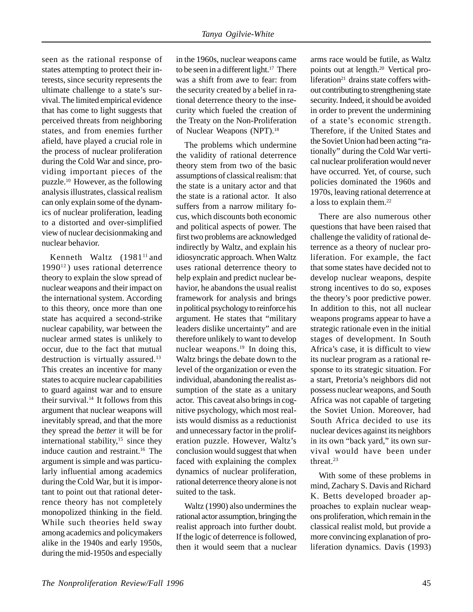seen as the rational response of states attempting to protect their interests, since security represents the ultimate challenge to a state's survival. The limited empirical evidence that has come to light suggests that perceived threats from neighboring states, and from enemies further afield, have played a crucial role in the process of nuclear proliferation during the Cold War and since, providing important pieces of the puzzle.10 However, as the following analysis illustrates, classical realism can only explain some of the dynamics of nuclear proliferation, leading to a distorted and over-simplified view of nuclear decisionmaking and nuclear behavior.

Kenneth Waltz  $(1981)$ <sup>11</sup> and  $1990^{12}$ ) uses rational deterrence theory to explain the slow spread of nuclear weapons and their impact on the international system. According to this theory, once more than one state has acquired a second-strike nuclear capability, war between the nuclear armed states is unlikely to occur, due to the fact that mutual destruction is virtually assured.<sup>13</sup> This creates an incentive for many states to acquire nuclear capabilities to guard against war and to ensure their survival.14 It follows from this argument that nuclear weapons will inevitably spread, and that the more they spread the *better* it will be for international stability,<sup>15</sup> since they induce caution and restraint.<sup>16</sup> The argument is simple and was particularly influential among academics during the Cold War, but it is important to point out that rational deterrence theory has not completely monopolized thinking in the field. While such theories held sway among academics and policymakers alike in the 1940s and early 1950s, during the mid-1950s and especially

in the 1960s, nuclear weapons came to be seen in a different light.<sup>17</sup> There was a shift from awe to fear: from the security created by a belief in rational deterrence theory to the insecurity which fueled the creation of the Treaty on the Non-Proliferation of Nuclear Weapons (NPT).<sup>18</sup>

The problems which undermine the validity of rational deterrence theory stem from two of the basic assumptions of classical realism: that the state is a unitary actor and that the state is a rational actor. It also suffers from a narrow military focus, which discounts both economic and political aspects of power. The first two problems are acknowledged indirectly by Waltz, and explain his idiosyncratic approach. When Waltz uses rational deterrence theory to help explain and predict nuclear behavior, he abandons the usual realist framework for analysis and brings in political psychology to reinforce his argument. He states that "military leaders dislike uncertainty" and are therefore unlikely to want to develop nuclear weapons.19 In doing this, Waltz brings the debate down to the level of the organization or even the individual, abandoning the realist assumption of the state as a unitary actor. This caveat also brings in cognitive psychology, which most realists would dismiss as a reductionist and unnecessary factor in the proliferation puzzle. However, Waltz's conclusion would suggest that when faced with explaining the complex dynamics of nuclear proliferation, rational deterrence theory alone is not suited to the task.

Waltz (1990) also undermines the rational actor assumption, bringing the realist approach into further doubt. If the logic of deterrence is followed, then it would seem that a nuclear arms race would be futile, as Waltz points out at length.<sup>20</sup> Vertical proliferation<sup>21</sup> drains state coffers without contributing to strengthening state security. Indeed, it should be avoided in order to prevent the undermining of a state's economic strength. Therefore, if the United States and the Soviet Union had been acting "rationally" during the Cold War vertical nuclear proliferation would never have occurred. Yet, of course, such policies dominated the 1960s and 1970s, leaving rational deterrence at a loss to explain them.22

There are also numerous other questions that have been raised that challenge the validity of rational deterrence as a theory of nuclear proliferation. For example, the fact that some states have decided not to develop nuclear weapons, despite strong incentives to do so, exposes the theory's poor predictive power. In addition to this, not all nuclear weapons programs appear to have a strategic rationale even in the initial stages of development. In South Africa's case, it is difficult to view its nuclear program as a rational response to its strategic situation. For a start, Pretoria's neighbors did not possess nuclear weapons, and South Africa was not capable of targeting the Soviet Union. Moreover, had South Africa decided to use its nuclear devices against its neighbors in its own "back yard," its own survival would have been under threat.23

With some of these problems in mind, Zachary S. Davis and Richard K. Betts developed broader approaches to explain nuclear weapons proliferation, which remain in the classical realist mold, but provide a more convincing explanation of proliferation dynamics. Davis (1993)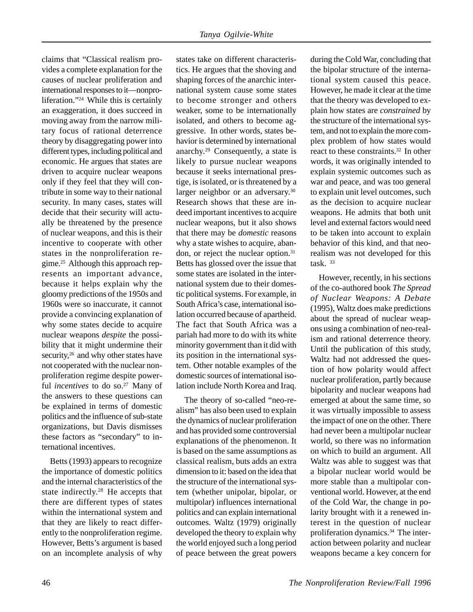claims that "Classical realism provides a complete explanation for the causes of nuclear proliferation and international responses to it—nonproliferation."24 While this is certainly an exaggeration, it does succeed in moving away from the narrow military focus of rational deterrence theory by disaggregating power into different types, including political and economic. He argues that states are driven to acquire nuclear weapons only if they feel that they will contribute in some way to their national security. In many cases, states will decide that their security will actually be threatened by the presence of nuclear weapons, and this is their incentive to cooperate with other states in the nonproliferation regime.25 Although this approach represents an important advance, because it helps explain why the gloomy predictions of the 1950s and 1960s were so inaccurate, it cannot provide a convincing explanation of why some states decide to acquire nuclear weapons *despite* the possibility that it might undermine their security,<sup>26</sup> and why other states have not cooperated with the nuclear nonproliferation regime despite powerful *incentives* to do so.<sup>27</sup> Many of the answers to these questions can be explained in terms of domestic politics and the influence of sub-state organizations, but Davis dismisses these factors as "secondary" to international incentives.

Betts (1993) appears to recognize the importance of domestic politics and the internal characteristics of the state indirectly.28 He accepts that there are different types of states within the international system and that they are likely to react differently to the nonproliferation regime. However, Betts's argument is based on an incomplete analysis of why

states take on different characteristics. He argues that the shoving and shaping forces of the anarchic international system cause some states to become stronger and others weaker, some to be internationally isolated, and others to become aggressive. In other words, states behavior is determined by international anarchy.29 Consequently, a state is likely to pursue nuclear weapons because it seeks international prestige, is isolated, or is threatened by a larger neighbor or an adversary.<sup>30</sup> Research shows that these are indeed important incentives to acquire nuclear weapons, but it also shows that there may be *domestic* reasons why a state wishes to acquire, abandon, or reject the nuclear option.<sup>31</sup> Betts has glossed over the issue that some states are isolated in the international system due to their domestic political systems. For example, in South Africa's case, international isolation occurred because of apartheid. The fact that South Africa was a pariah had more to do with its white minority government than it did with its position in the international system. Other notable examples of the domestic sources of international isolation include North Korea and Iraq.

The theory of so-called "neo-realism" has also been used to explain the dynamics of nuclear proliferation and has provided some controversial explanations of the phenomenon. It is based on the same assumptions as classical realism, buts adds an extra dimension to it: based on the idea that the structure of the international system (whether unipolar, bipolar, or multipolar) influences international politics and can explain international outcomes. Waltz (1979) originally developed the theory to explain why the world enjoyed such a long period of peace between the great powers

during the Cold War, concluding that the bipolar structure of the international system caused this peace. However, he made it clear at the time that the theory was developed to explain how states are *constrained* by the structure of the international system, and not to explain the more complex problem of how states would react to these constraints.<sup>32</sup> In other words, it was originally intended to explain systemic outcomes such as war and peace, and was too general to explain unit level outcomes, such as the decision to acquire nuclear weapons. He admits that both unit level and external factors would need to be taken into account to explain behavior of this kind, and that neorealism was not developed for this task. 33

However, recently, in his sections of the co-authored book *The Spread of Nuclear Weapons: A Debate* (1995), Waltz does make predictions about the spread of nuclear weapons using a combination of neo-realism and rational deterrence theory. Until the publication of this study, Waltz had not addressed the question of how polarity would affect nuclear proliferation, partly because bipolarity and nuclear weapons had emerged at about the same time, so it was virtually impossible to assess the impact of one on the other. There had never been a multipolar nuclear world, so there was no information on which to build an argument. All Waltz was able to suggest was that a bipolar nuclear world would be more stable than a multipolar conventional world. However, at the end of the Cold War, the change in polarity brought with it a renewed interest in the question of nuclear proliferation dynamics.34 The interaction between polarity and nuclear weapons became a key concern for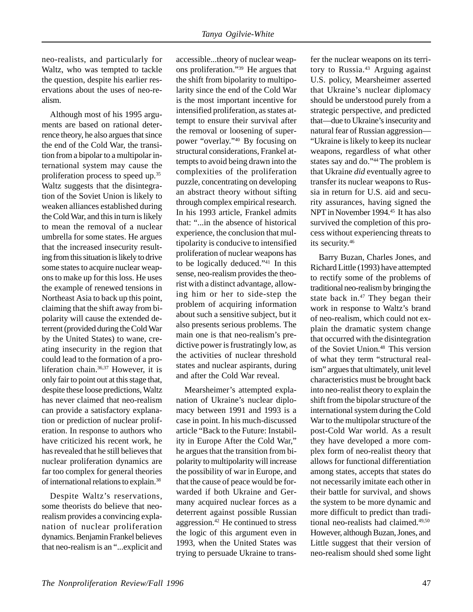neo-realists, and particularly for Waltz, who was tempted to tackle the question, despite his earlier reservations about the uses of neo-realism.

Although most of his 1995 arguments are based on rational deterrence theory, he also argues that since the end of the Cold War, the transition from a bipolar to a multipolar international system may cause the proliferation process to speed up.35 Waltz suggests that the disintegration of the Soviet Union is likely to weaken alliances established during the Cold War, and this in turn is likely to mean the removal of a nuclear umbrella for some states. He argues that the increased insecurity resulting from this situation is likely to drive some states to acquire nuclear weapons to make up for this loss. He uses the example of renewed tensions in Northeast Asia to back up this point, claiming that the shift away from bipolarity will cause the extended deterrent (provided during the Cold War by the United States) to wane, creating insecurity in the region that could lead to the formation of a proliferation chain.36,37 However, it is only fair to point out at this stage that, despite these loose predictions, Waltz has never claimed that neo-realism can provide a satisfactory explanation or prediction of nuclear proliferation. In response to authors who have criticized his recent work, he has revealed that he still believes that nuclear proliferation dynamics are far too complex for general theories of international relations to explain.38

Despite Waltz's reservations, some theorists do believe that neorealism provides a convincing explanation of nuclear proliferation dynamics. Benjamin Frankel believes that neo-realism is an "...explicit and

accessible...theory of nuclear weapons proliferation."39 He argues that the shift from bipolarity to multipolarity since the end of the Cold War is the most important incentive for intensified proliferation, as states attempt to ensure their survival after the removal or loosening of superpower "overlay."40 By focusing on structural considerations, Frankel attempts to avoid being drawn into the complexities of the proliferation puzzle, concentrating on developing an abstract theory without sifting through complex empirical research. In his 1993 article, Frankel admits that: "...in the absence of historical experience, the conclusion that multipolarity is conducive to intensified proliferation of nuclear weapons has to be logically deduced."41 In this sense, neo-realism provides the theorist with a distinct advantage, allowing him or her to side-step the problem of acquiring information about such a sensitive subject, but it also presents serious problems. The main one is that neo-realism's predictive power is frustratingly low, as the activities of nuclear threshold states and nuclear aspirants, during and after the Cold War reveal.

Mearsheimer's attempted explanation of Ukraine's nuclear diplomacy between 1991 and 1993 is a case in point. In his much-discussed article "Back to the Future: Instability in Europe After the Cold War," he argues that the transition from bipolarity to multipolarity will increase the possibility of war in Europe, and that the cause of peace would be forwarded if both Ukraine and Germany acquired nuclear forces as a deterrent against possible Russian aggression.42 He continued to stress the logic of this argument even in 1993, when the United States was trying to persuade Ukraine to transfer the nuclear weapons on its territory to Russia.<sup>43</sup> Arguing against U.S. policy, Mearsheimer asserted that Ukraine's nuclear diplomacy should be understood purely from a strategic perspective, and predicted that—due to Ukraine's insecurity and natural fear of Russian aggression— "Ukraine is likely to keep its nuclear weapons, regardless of what other states say and do."44The problem is that Ukraine *did* eventually agree to transfer its nuclear weapons to Russia in return for U.S. aid and security assurances, having signed the NPT in November 1994.<sup>45</sup> It has also survived the completion of this process without experiencing threats to its security.46

Barry Buzan, Charles Jones, and Richard Little (1993) have attempted to rectify some of the problems of traditional neo-realism by bringing the state back in. $47$  They began their work in response to Waltz's brand of neo-realism, which could not explain the dramatic system change that occurred with the disintegration of the Soviet Union.<sup>48</sup> This version of what they term "structural realism" argues that ultimately, unit level characteristics must be brought back into neo-realist theory to explain the shift from the bipolar structure of the international system during the Cold War to the multipolar structure of the post-Cold War world. As a result they have developed a more complex form of neo-realist theory that allows for functional differentiation among states, accepts that states do not necessarily imitate each other in their battle for survival, and shows the system to be more dynamic and more difficult to predict than traditional neo-realists had claimed.<sup>49,50</sup> However, although Buzan, Jones, and Little suggest that their version of neo-realism should shed some light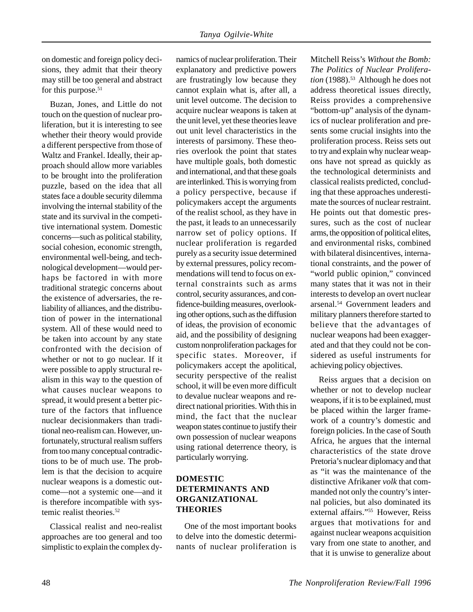on domestic and foreign policy decisions, they admit that their theory may still be too general and abstract for this purpose.<sup>51</sup>

Buzan, Jones, and Little do not touch on the question of nuclear proliferation, but it is interesting to see whether their theory would provide a different perspective from those of Waltz and Frankel. Ideally, their approach should allow more variables to be brought into the proliferation puzzle, based on the idea that all states face a double security dilemma involving the internal stability of the state and its survival in the competitive international system. Domestic concerns—such as political stability, social cohesion, economic strength, environmental well-being, and technological development—would perhaps be factored in with more traditional strategic concerns about the existence of adversaries, the reliability of alliances, and the distribution of power in the international system. All of these would need to be taken into account by any state confronted with the decision of whether or not to go nuclear. If it were possible to apply structural realism in this way to the question of what causes nuclear weapons to spread, it would present a better picture of the factors that influence nuclear decisionmakers than traditional neo-realism can. However, unfortunately, structural realism suffers from too many conceptual contradictions to be of much use. The problem is that the decision to acquire nuclear weapons is a domestic outcome—not a systemic one—and it is therefore incompatible with systemic realist theories.52

Classical realist and neo-realist approaches are too general and too simplistic to explain the complex dy-

namics of nuclear proliferation. Their explanatory and predictive powers are frustratingly low because they cannot explain what is, after all, a unit level outcome. The decision to acquire nuclear weapons is taken at the unit level, yet these theories leave out unit level characteristics in the interests of parsimony. These theories overlook the point that states have multiple goals, both domestic and international, and that these goals are interlinked. This is worrying from a policy perspective, because if policymakers accept the arguments of the realist school, as they have in the past, it leads to an unnecessarily narrow set of policy options. If nuclear proliferation is regarded purely as a security issue determined by external pressures, policy recommendations will tend to focus on external constraints such as arms control, security assurances, and confidence-building measures, overlooking other options, such as the diffusion of ideas, the provision of economic aid, and the possibility of designing custom nonproliferation packages for specific states. Moreover, if policymakers accept the apolitical, security perspective of the realist school, it will be even more difficult to devalue nuclear weapons and redirect national priorities. With this in mind, the fact that the nuclear weapon states continue to justify their own possession of nuclear weapons using rational deterrence theory, is particularly worrying.

# **DOMESTIC DETERMINANTS AND ORGANIZATIONAL THEORIES**

One of the most important books to delve into the domestic determinants of nuclear proliferation is

Mitchell Reiss's *Without the Bomb: The Politics of Nuclear Prolifera*tion (1988).<sup>53</sup> Although he does not address theoretical issues directly, Reiss provides a comprehensive "bottom-up" analysis of the dynamics of nuclear proliferation and presents some crucial insights into the proliferation process. Reiss sets out to try and explain why nuclear weapons have not spread as quickly as the technological determinists and classical realists predicted, concluding that these approaches underestimate the sources of nuclear restraint. He points out that domestic pressures, such as the cost of nuclear arms, the opposition of political elites, and environmental risks, combined with bilateral disincentives, international constraints, and the power of "world public opinion," convinced many states that it was not in their interests to develop an overt nuclear arsenal.54 Government leaders and military planners therefore started to believe that the advantages of nuclear weapons had been exaggerated and that they could not be considered as useful instruments for achieving policy objectives.

Reiss argues that a decision on whether or not to develop nuclear weapons, if it is to be explained, must be placed within the larger framework of a country's domestic and foreign policies. In the case of South Africa, he argues that the internal characteristics of the state drove Pretoria's nuclear diplomacy and that as "it was the maintenance of the distinctive Afrikaner *volk* that commanded not only the country's internal policies, but also dominated its external affairs."55 However, Reiss argues that motivations for and against nuclear weapons acquisition vary from one state to another, and that it is unwise to generalize about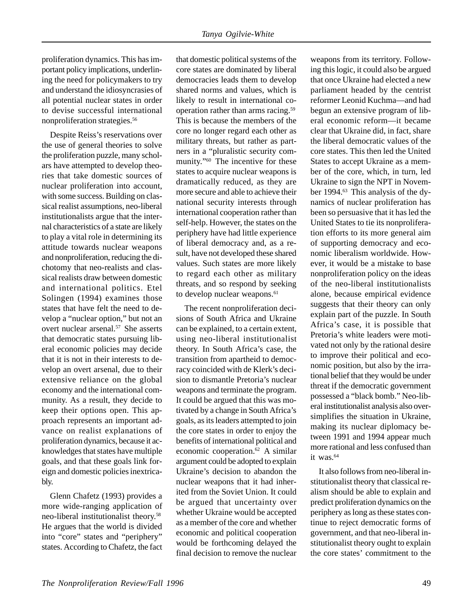proliferation dynamics. This has important policy implications, underlining the need for policymakers to try and understand the idiosyncrasies of all potential nuclear states in order to devise successful international nonproliferation strategies.56

Despite Reiss's reservations over the use of general theories to solve the proliferation puzzle, many scholars have attempted to develop theories that take domestic sources of nuclear proliferation into account, with some success. Building on classical realist assumptions, neo-liberal institutionalists argue that the internal characteristics of a state are likely to play a vital role in determining its attitude towards nuclear weapons and nonproliferation, reducing the dichotomy that neo-realists and classical realists draw between domestic and international politics. Etel Solingen (1994) examines those states that have felt the need to develop a "nuclear option," but not an overt nuclear arsenal.<sup>57</sup> She asserts that democratic states pursuing liberal economic policies may decide that it is not in their interests to develop an overt arsenal, due to their extensive reliance on the global economy and the international community. As a result, they decide to keep their options open. This approach represents an important advance on realist explanations of proliferation dynamics, because it acknowledges that states have multiple goals, and that these goals link foreign and domestic policies inextricably.

Glenn Chafetz (1993) provides a more wide-ranging application of neo-liberal institutionalist theory.58 He argues that the world is divided into "core" states and "periphery" states. According to Chafetz, the fact

that domestic political systems of the core states are dominated by liberal democracies leads them to develop shared norms and values, which is likely to result in international cooperation rather than arms racing.59 This is because the members of the core no longer regard each other as military threats, but rather as partners in a "pluralistic security community."60 The incentive for these states to acquire nuclear weapons is dramatically reduced, as they are more secure and able to achieve their national security interests through international cooperation rather than self-help. However, the states on the periphery have had little experience of liberal democracy and, as a result, have not developed these shared values. Such states are more likely to regard each other as military threats, and so respond by seeking to develop nuclear weapons.<sup>61</sup>

The recent nonproliferation decisions of South Africa and Ukraine can be explained, to a certain extent, using neo-liberal institutionalist theory. In South Africa's case, the transition from apartheid to democracy coincided with de Klerk's decision to dismantle Pretoria's nuclear weapons and terminate the program. It could be argued that this was motivated by a change in South Africa's goals, as its leaders attempted to join the core states in order to enjoy the benefits of international political and economic cooperation.62 A similar argument could be adopted to explain Ukraine's decision to abandon the nuclear weapons that it had inherited from the Soviet Union. It could be argued that uncertainty over whether Ukraine would be accepted as a member of the core and whether economic and political cooperation would be forthcoming delayed the final decision to remove the nuclear weapons from its territory. Following this logic, it could also be argued that once Ukraine had elected a new parliament headed by the centrist reformer Leonid Kuchma—and had begun an extensive program of liberal economic reform—it became clear that Ukraine did, in fact, share the liberal democratic values of the core states. This then led the United States to accept Ukraine as a member of the core, which, in turn, led Ukraine to sign the NPT in November 1994.<sup>63</sup> This analysis of the dynamics of nuclear proliferation has been so persuasive that it has led the United States to tie its nonproliferation efforts to its more general aim of supporting democracy and economic liberalism worldwide. However, it would be a mistake to base nonproliferation policy on the ideas of the neo-liberal institutionalists alone, because empirical evidence suggests that their theory can only explain part of the puzzle. In South Africa's case, it is possible that Pretoria's white leaders were motivated not only by the rational desire to improve their political and economic position, but also by the irrational belief that they would be under threat if the democratic government possessed a "black bomb." Neo-liberal institutionalist analysis also oversimplifies the situation in Ukraine, making its nuclear diplomacy between 1991 and 1994 appear much more rational and less confused than it was.64

It also follows from neo-liberal institutionalist theory that classical realism should be able to explain and predict proliferation dynamics on the periphery as long as these states continue to reject democratic forms of government, and that neo-liberal institutionalist theory ought to explain the core states' commitment to the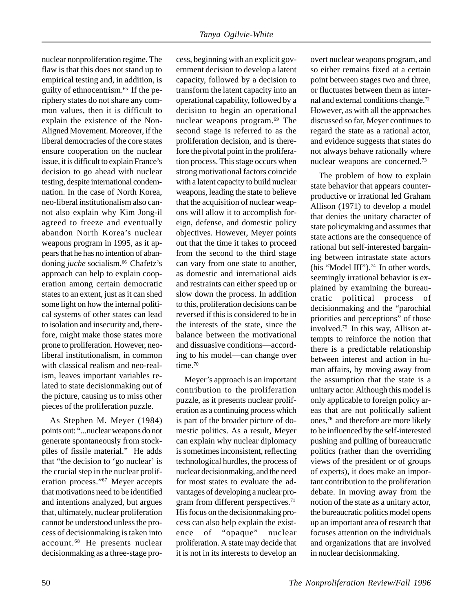nuclear nonproliferation regime. The flaw is that this does not stand up to empirical testing and, in addition, is guilty of ethnocentrism.65 If the periphery states do not share any common values, then it is difficult to explain the existence of the Non-Aligned Movement. Moreover, if the liberal democracies of the core states ensure cooperation on the nuclear issue, it is difficult to explain France's decision to go ahead with nuclear testing, despite international condemnation. In the case of North Korea, neo-liberal institutionalism also cannot also explain why Kim Jong-il agreed to freeze and eventually abandon North Korea's nuclear weapons program in 1995, as it appears that he has no intention of abandoning *juche* socialism.<sup>66</sup> Chafetz's approach can help to explain cooperation among certain democratic states to an extent, just as it can shed some light on how the internal political systems of other states can lead to isolation and insecurity and, therefore, might make those states more prone to proliferation. However, neoliberal institutionalism, in common with classical realism and neo-realism, leaves important variables related to state decisionmaking out of the picture, causing us to miss other pieces of the proliferation puzzle.

As Stephen M. Meyer (1984) points out: "...nuclear weapons do not generate spontaneously from stockpiles of fissile material." He adds that "the decision to 'go nuclear' is the crucial step in the nuclear proliferation process."67 Meyer accepts that motivations need to be identified and intentions analyzed, but argues that, ultimately, nuclear proliferation cannot be understood unless the process of decisionmaking is taken into account.68 He presents nuclear decisionmaking as a three-stage process, beginning with an explicit government decision to develop a latent capacity, followed by a decision to transform the latent capacity into an operational capability, followed by a decision to begin an operational nuclear weapons program.69 The second stage is referred to as the proliferation decision, and is therefore the pivotal point in the proliferation process. This stage occurs when strong motivational factors coincide with a latent capacity to build nuclear weapons, leading the state to believe that the acquisition of nuclear weapons will allow it to accomplish foreign, defense, and domestic policy objectives. However, Meyer points out that the time it takes to proceed from the second to the third stage can vary from one state to another, as domestic and international aids and restraints can either speed up or slow down the process. In addition to this, proliferation decisions can be reversed if this is considered to be in the interests of the state, since the balance between the motivational and dissuasive conditions—according to his model—can change over time.<sup>70</sup>

Meyer's approach is an important contribution to the proliferation puzzle, as it presents nuclear proliferation as a continuing process which is part of the broader picture of domestic politics. As a result, Meyer can explain why nuclear diplomacy is sometimes inconsistent, reflecting technological hurdles, the process of nuclear decisionmaking, and the need for most states to evaluate the advantages of developing a nuclear program from different perspectives.71 His focus on the decisionmaking process can also help explain the existence of "opaque" nuclear proliferation. A state may decide that it is not in its interests to develop an

overt nuclear weapons program, and so either remains fixed at a certain point between stages two and three, or fluctuates between them as internal and external conditions change.72 However, as with all the approaches discussed so far, Meyer continues to regard the state as a rational actor, and evidence suggests that states do not always behave rationally where nuclear weapons are concerned.73

The problem of how to explain state behavior that appears counterproductive or irrational led Graham Allison (1971) to develop a model that denies the unitary character of state policymaking and assumes that state actions are the consequence of rational but self-interested bargaining between intrastate state actors (his "Model III").<sup>74</sup> In other words, seemingly irrational behavior is explained by examining the bureaucratic political process of decisionmaking and the "parochial priorities and perceptions" of those involved.75 In this way, Allison attempts to reinforce the notion that there is a predictable relationship between interest and action in human affairs, by moving away from the assumption that the state is a unitary actor. Although this model is only applicable to foreign policy areas that are not politically salient ones,76 and therefore are more likely to be influenced by the self-interested pushing and pulling of bureaucratic politics (rather than the overriding views of the president or of groups of experts), it does make an important contribution to the proliferation debate. In moving away from the notion of the state as a unitary actor, the bureaucratic politics model opens up an important area of research that focuses attention on the individuals and organizations that are involved in nuclear decisionmaking.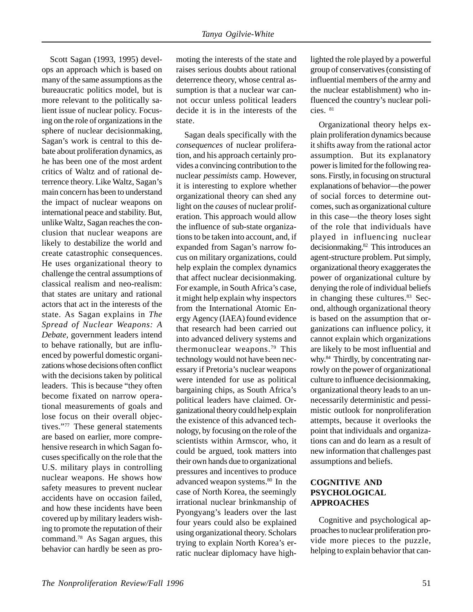Scott Sagan (1993, 1995) develops an approach which is based on many of the same assumptions as the bureaucratic politics model, but is more relevant to the politically salient issue of nuclear policy. Focusing on the role of organizations in the sphere of nuclear decisionmaking, Sagan's work is central to this debate about proliferation dynamics, as he has been one of the most ardent critics of Waltz and of rational deterrence theory. Like Waltz, Sagan's main concern has been to understand the impact of nuclear weapons on international peace and stability. But, unlike Waltz, Sagan reaches the conclusion that nuclear weapons are likely to destabilize the world and create catastrophic consequences. He uses organizational theory to challenge the central assumptions of classical realism and neo-realism: that states are unitary and rational actors that act in the interests of the state. As Sagan explains in *The Spread of Nuclear Weapons: A Debate,* government leaders intend to behave rationally, but are influenced by powerful domestic organizations whose decisions often conflict with the decisions taken by political leaders. This is because "they often become fixated on narrow operational measurements of goals and lose focus on their overall objectives."77 These general statements are based on earlier, more comprehensive research in which Sagan focuses specifically on the role that the U.S. military plays in controlling nuclear weapons. He shows how safety measures to prevent nuclear accidents have on occasion failed, and how these incidents have been covered up by military leaders wishing to promote the reputation of their command.78 As Sagan argues, this behavior can hardly be seen as pro-

moting the interests of the state and raises serious doubts about rational deterrence theory, whose central assumption is that a nuclear war cannot occur unless political leaders decide it is in the interests of the state.

Sagan deals specifically with the *consequences* of nuclear proliferation, and his approach certainly provides a convincing contribution to the nuclear *pessimists* camp. However, it is interesting to explore whether organizational theory can shed any light on the *causes* of nuclear proliferation. This approach would allow the influence of sub-state organizations to be taken into account, and, if expanded from Sagan's narrow focus on military organizations, could help explain the complex dynamics that affect nuclear decisionmaking. For example, in South Africa's case, it might help explain why inspectors from the International Atomic Energy Agency (IAEA) found evidence that research had been carried out into advanced delivery systems and thermonuclear weapons.79 This technology would not have been necessary if Pretoria's nuclear weapons were intended for use as political bargaining chips, as South Africa's political leaders have claimed. Organizational theory could help explain the existence of this advanced technology, by focusing on the role of the scientists within Armscor, who, it could be argued, took matters into their own hands due to organizational pressures and incentives to produce advanced weapon systems.80 In the case of North Korea, the seemingly irrational nuclear brinkmanship of Pyongyang's leaders over the last four years could also be explained using organizational theory. Scholars trying to explain North Korea's erratic nuclear diplomacy have high-

lighted the role played by a powerful group of conservatives (consisting of influential members of the army and the nuclear establishment) who influenced the country's nuclear policies. 81

Organizational theory helps explain proliferation dynamics because it shifts away from the rational actor assumption. But its explanatory power is limited for the following reasons. Firstly, in focusing on structural explanations of behavior—the power of social forces to determine outcomes, such as organizational culture in this case—the theory loses sight of the role that individuals have played in influencing nuclear decisionmaking.<sup>82</sup> This introduces an agent-structure problem. Put simply, organizational theory exaggerates the power of organizational culture by denying the role of individual beliefs in changing these cultures.<sup>83</sup> Second, although organizational theory is based on the assumption that organizations can influence policy, it cannot explain which organizations are likely to be most influential and why.<sup>84</sup> Thirdly, by concentrating narrowly on the power of organizational culture to influence decisionmaking, organizational theory leads to an unnecessarily deterministic and pessimistic outlook for nonproliferation attempts, because it overlooks the point that individuals and organizations can and do learn as a result of new information that challenges past assumptions and beliefs.

# **COGNITIVE AND PSYCHOLOGICAL APPROACHES**

Cognitive and psychological approaches to nuclear proliferation provide more pieces to the puzzle, helping to explain behavior that can-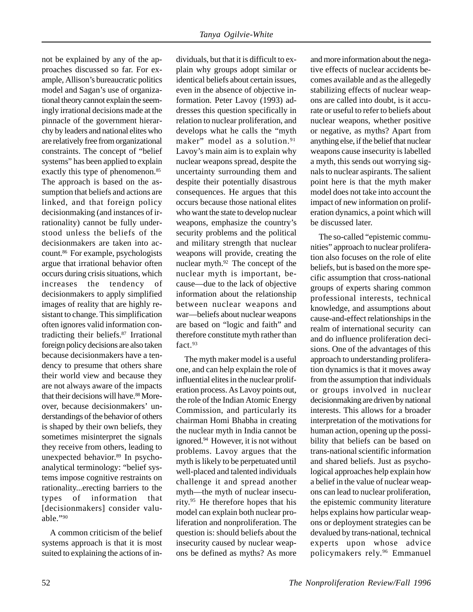not be explained by any of the approaches discussed so far. For example, Allison's bureaucratic politics model and Sagan's use of organizational theory cannot explain the seemingly irrational decisions made at the pinnacle of the government hierarchy by leaders and national elites who are relatively free from organizational constraints. The concept of "belief systems" has been applied to explain exactly this type of phenomenon.<sup>85</sup> The approach is based on the assumption that beliefs and actions are linked, and that foreign policy decisionmaking (and instances of irrationality) cannot be fully understood unless the beliefs of the decisionmakers are taken into account.86 For example, psychologists argue that irrational behavior often occurs during crisis situations, which increases the tendency of decisionmakers to apply simplified images of reality that are highly resistant to change. This simplification often ignores valid information contradicting their beliefs.87 Irrational foreign policy decisions are also taken because decisionmakers have a tendency to presume that others share their world view and because they are not always aware of the impacts that their decisions will have.<sup>88</sup> Moreover, because decisionmakers' understandings of the behavior of others is shaped by their own beliefs, they sometimes misinterpret the signals they receive from others, leading to unexpected behavior.89 In psychoanalytical terminology: "belief systems impose cognitive restraints on rationality...erecting barriers to the types of information that [decisionmakers] consider valuable."90

A common criticism of the belief systems approach is that it is most suited to explaining the actions of individuals, but that it is difficult to explain why groups adopt similar or identical beliefs about certain issues, even in the absence of objective information. Peter Lavoy (1993) addresses this question specifically in relation to nuclear proliferation, and develops what he calls the "myth maker" model as a solution.<sup>91</sup> Lavoy's main aim is to explain why nuclear weapons spread, despite the uncertainty surrounding them and despite their potentially disastrous consequences. He argues that this occurs because those national elites who want the state to develop nuclear weapons, emphasize the country's security problems and the political and military strength that nuclear weapons will provide, creating the nuclear myth.<sup>92</sup> The concept of the nuclear myth is important, because—due to the lack of objective information about the relationship between nuclear weapons and war—beliefs about nuclear weapons are based on "logic and faith" and therefore constitute myth rather than fact.<sup>93</sup>

The myth maker model is a useful one, and can help explain the role of influential elites in the nuclear proliferation process. As Lavoy points out, the role of the Indian Atomic Energy Commission, and particularly its chairman Homi Bhabha in creating the nuclear myth in India cannot be ignored.94 However, it is not without problems. Lavoy argues that the myth is likely to be perpetuated until well-placed and talented individuals challenge it and spread another myth—the myth of nuclear insecurity.95 He therefore hopes that his model can explain both nuclear proliferation and nonproliferation. The question is: should beliefs about the insecurity caused by nuclear weapons be defined as myths? As more

and more information about the negative effects of nuclear accidents becomes available and as the allegedly stabilizing effects of nuclear weapons are called into doubt, is it accurate or useful to refer to beliefs about nuclear weapons, whether positive or negative, as myths? Apart from anything else, if the belief that nuclear weapons cause insecurity is labelled a myth, this sends out worrying signals to nuclear aspirants. The salient point here is that the myth maker model does not take into account the impact of new information on proliferation dynamics, a point which will be discussed later.

The so-called "epistemic communities" approach to nuclear proliferation also focuses on the role of elite beliefs, but is based on the more specific assumption that cross-national groups of experts sharing common professional interests, technical knowledge, and assumptions about cause-and-effect relationships in the realm of international security can and do influence proliferation decisions. One of the advantages of this approach to understanding proliferation dynamics is that it moves away from the assumption that individuals or groups involved in nuclear decisionmaking are driven by national interests. This allows for a broader interpretation of the motivations for human action, opening up the possibility that beliefs can be based on trans-national scientific information and shared beliefs. Just as psychological approaches help explain how a belief in the value of nuclear weapons can lead to nuclear proliferation, the epistemic community literature helps explains how particular weapons or deployment strategies can be devalued by trans-national, technical experts upon whose advice policymakers rely.96 Emmanuel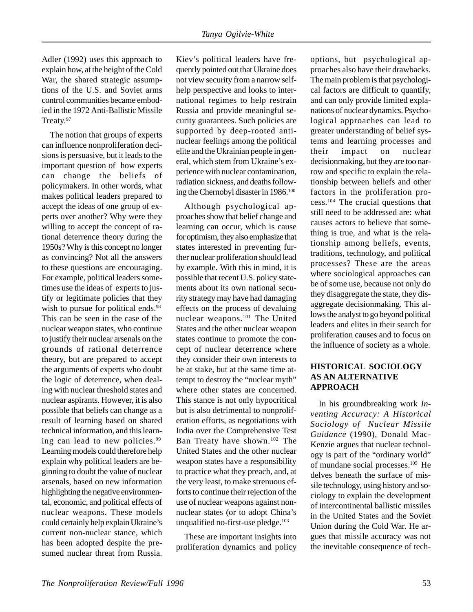Adler (1992) uses this approach to explain how, at the height of the Cold War, the shared strategic assumptions of the U.S. and Soviet arms control communities became embodied in the 1972 Anti-Ballistic Missile Treaty.<sup>97</sup>

The notion that groups of experts can influence nonproliferation decisions is persuasive, but it leads to the important question of how experts can change the beliefs of policymakers. In other words, what makes political leaders prepared to accept the ideas of one group of experts over another? Why were they willing to accept the concept of rational deterrence theory during the 1950s? Why is this concept no longer as convincing? Not all the answers to these questions are encouraging. For example, political leaders sometimes use the ideas of experts to justify or legitimate policies that they wish to pursue for political ends.<sup>98</sup> This can be seen in the case of the nuclear weapon states, who continue to justify their nuclear arsenals on the grounds of rational deterrence theory, but are prepared to accept the arguments of experts who doubt the logic of deterrence, when dealing with nuclear threshold states and nuclear aspirants. However, it is also possible that beliefs can change as a result of learning based on shared technical information, and this learning can lead to new policies.<sup>99</sup> Learning models could therefore help explain why political leaders are beginning to doubt the value of nuclear arsenals, based on new information highlighting the negative environmental, economic, and political effects of nuclear weapons. These models could certainly help explain Ukraine's current non-nuclear stance, which has been adopted despite the presumed nuclear threat from Russia.

Kiev's political leaders have frequently pointed out that Ukraine does not view security from a narrow selfhelp perspective and looks to international regimes to help restrain Russia and provide meaningful security guarantees. Such policies are supported by deep-rooted antinuclear feelings among the political elite and the Ukrainian people in general, which stem from Ukraine's experience with nuclear contamination, radiation sickness, and deaths following the Chernobyl disaster in 1986.<sup>100</sup>

Although psychological approaches show that belief change and learning can occur, which is cause for optimism, they also emphasize that states interested in preventing further nuclear proliferation should lead by example. With this in mind, it is possible that recent U.S. policy statements about its own national security strategy may have had damaging effects on the process of devaluing nuclear weapons.101 The United States and the other nuclear weapon states continue to promote the concept of nuclear deterrence where they consider their own interests to be at stake, but at the same time attempt to destroy the "nuclear myth" where other states are concerned. This stance is not only hypocritical but is also detrimental to nonproliferation efforts, as negotiations with India over the Comprehensive Test Ban Treaty have shown.102 The United States and the other nuclear weapon states have a responsibility to practice what they preach, and, at the very least, to make strenuous efforts to continue their rejection of the use of nuclear weapons against nonnuclear states (or to adopt China's unqualified no-first-use pledge. $103$ 

These are important insights into proliferation dynamics and policy

options, but psychological approaches also have their drawbacks. The main problem is that psychological factors are difficult to quantify, and can only provide limited explanations of nuclear dynamics. Psychological approaches can lead to greater understanding of belief systems and learning processes and their impact on nuclear decisionmaking, but they are too narrow and specific to explain the relationship between beliefs and other factors in the proliferation process.104 The crucial questions that still need to be addressed are: what causes actors to believe that something is true, and what is the relationship among beliefs, events, traditions, technology, and political processes? These are the areas where sociological approaches can be of some use, because not only do they disaggregate the state, they disaggregate decisionmaking. This allows the analyst to go beyond political leaders and elites in their search for proliferation causes and to focus on the influence of society as a whole.

## **HISTORICAL SOCIOLOGY AS AN ALTERNATIVE APPROACH**

In his groundbreaking work *Inventing Accuracy: A Historical Sociology of Nuclear Missile Guidance* (1990), Donald Mac-Kenzie argues that nuclear technology is part of the "ordinary world" of mundane social processes.105 He delves beneath the surface of missile technology, using history and sociology to explain the development of intercontinental ballistic missiles in the United States and the Soviet Union during the Cold War. He argues that missile accuracy was not the inevitable consequence of tech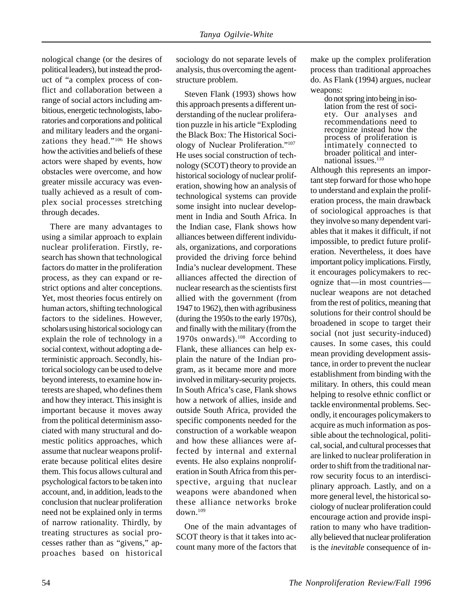nological change (or the desires of political leaders), but instead the product of "a complex process of conflict and collaboration between a range of social actors including ambitious, energetic technologists, laboratories and corporations and political and military leaders and the organizations they head."106 He shows how the activities and beliefs of these actors were shaped by events, how obstacles were overcome, and how greater missile accuracy was eventually achieved as a result of complex social processes stretching through decades.

There are many advantages to using a similar approach to explain nuclear proliferation. Firstly, research has shown that technological factors do matter in the proliferation process, as they can expand or restrict options and alter conceptions. Yet, most theories focus entirely on human actors, shifting technological factors to the sidelines. However, scholars using historical sociology can explain the role of technology in a social context, without adopting a deterministic approach. Secondly, historical sociology can be used to delve beyond interests, to examine how interests are shaped, who defines them and how they interact. This insight is important because it moves away from the political determinism associated with many structural and domestic politics approaches, which assume that nuclear weapons proliferate because political elites desire them. This focus allows cultural and psychological factors to be taken into account, and, in addition, leads to the conclusion that nuclear proliferation need not be explained only in terms of narrow rationality. Thirdly, by treating structures as social processes rather than as "givens," approaches based on historical sociology do not separate levels of analysis, thus overcoming the agentstructure problem.

Steven Flank (1993) shows how this approach presents a different understanding of the nuclear proliferation puzzle in his article "Exploding the Black Box: The Historical Sociology of Nuclear Proliferation."107 He uses social construction of technology (SCOT) theory to provide an historical sociology of nuclear proliferation, showing how an analysis of technological systems can provide some insight into nuclear development in India and South Africa. In the Indian case, Flank shows how alliances between different individuals, organizations, and corporations provided the driving force behind India's nuclear development. These alliances affected the direction of nuclear research as the scientists first allied with the government (from 1947 to 1962), then with agribusiness (during the 1950s to the early 1970s), and finally with the military (from the 1970s onwards).108 According to Flank, these alliances can help explain the nature of the Indian program, as it became more and more involved in military-security projects. In South Africa's case, Flank shows how a network of allies, inside and outside South Africa, provided the specific components needed for the construction of a workable weapon and how these alliances were affected by internal and external events. He also explains nonproliferation in South Africa from this perspective, arguing that nuclear weapons were abandoned when these alliance networks broke down.109

One of the main advantages of SCOT theory is that it takes into account many more of the factors that make up the complex proliferation process than traditional approaches do. As Flank (1994) argues, nuclear weapons:

do not spring into being in isolation from the rest of society. Our analyses and recommendations need to recognize instead how the process of proliferation is intimately connected to broader political and international issues.<sup>110</sup>

Although this represents an important step forward for those who hope to understand and explain the proliferation process, the main drawback of sociological approaches is that they involve so many dependent variables that it makes it difficult, if not impossible, to predict future proliferation. Nevertheless, it does have important policy implications. Firstly, it encourages policymakers to recognize that—in most countries nuclear weapons are not detached from the rest of politics, meaning that solutions for their control should be broadened in scope to target their social (not just security-induced) causes. In some cases, this could mean providing development assistance, in order to prevent the nuclear establishment from binding with the military. In others, this could mean helping to resolve ethnic conflict or tackle environmental problems. Secondly, it encourages policymakers to acquire as much information as possible about the technological, political, social, and cultural processes that are linked to nuclear proliferation in order to shift from the traditional narrow security focus to an interdisciplinary approach. Lastly, and on a more general level, the historical sociology of nuclear proliferation could encourage action and provide inspiration to many who have traditionally believed that nuclear proliferation is the *inevitable* consequence of in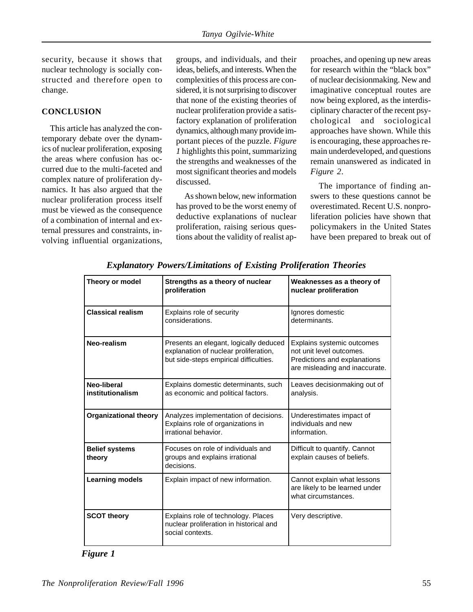security, because it shows that nuclear technology is socially constructed and therefore open to change.

#### **CONCLUSION**

This article has analyzed the contemporary debate over the dynamics of nuclear proliferation, exposing the areas where confusion has occurred due to the multi-faceted and complex nature of proliferation dynamics. It has also argued that the nuclear proliferation process itself must be viewed as the consequence of a combination of internal and external pressures and constraints, involving influential organizations, groups, and individuals, and their ideas, beliefs, and interests. When the complexities of this process are considered, it is not surprising to discover that none of the existing theories of nuclear proliferation provide a satisfactory explanation of proliferation dynamics, although many provide important pieces of the puzzle. *Figure 1* highlights this point, summarizing the strengths and weaknesses of the most significant theories and models discussed.

As shown below, new information has proved to be the worst enemy of deductive explanations of nuclear proliferation, raising serious questions about the validity of realist approaches, and opening up new areas for research within the "black box" of nuclear decisionmaking. New and imaginative conceptual routes are now being explored, as the interdisciplinary character of the recent psychological and sociological approaches have shown. While this is encouraging, these approaches remain underdeveloped, and questions remain unanswered as indicated in *Figure 2*.

The importance of finding answers to these questions cannot be overestimated. Recent U.S. nonproliferation policies have shown that policymakers in the United States have been prepared to break out of

| Theory or model                 | Strengths as a theory of nuclear<br>proliferation                                                                         | Weaknesses as a theory of<br>nuclear proliferation                                                                       |  |
|---------------------------------|---------------------------------------------------------------------------------------------------------------------------|--------------------------------------------------------------------------------------------------------------------------|--|
| <b>Classical realism</b>        | Explains role of security<br>considerations.                                                                              | Ignores domestic<br>determinants.                                                                                        |  |
| Neo-realism                     | Presents an elegant, logically deduced<br>explanation of nuclear proliferation,<br>but side-steps empirical difficulties. | Explains systemic outcomes<br>not unit level outcomes.<br>Predictions and explanations<br>are misleading and inaccurate. |  |
| Neo-liberal<br>institutionalism | Explains domestic determinants, such<br>as economic and political factors.                                                | Leaves decisionmaking out of<br>analysis.                                                                                |  |
| <b>Organizational theory</b>    | Analyzes implementation of decisions.<br>Explains role of organizations in<br>irrational behavior.                        | Underestimates impact of<br>individuals and new<br>information.                                                          |  |
| <b>Belief systems</b><br>theory | Focuses on role of individuals and<br>groups and explains irrational<br>decisions.                                        | Difficult to quantify. Cannot<br>explain causes of beliefs.                                                              |  |
| <b>Learning models</b>          | Explain impact of new information.                                                                                        | Cannot explain what lessons<br>are likely to be learned under<br>what circumstances.                                     |  |
| <b>SCOT theory</b>              | Explains role of technology. Places<br>nuclear proliferation in historical and<br>social contexts.                        | Very descriptive.                                                                                                        |  |

*Explanatory Powers/Limitations of Existing Proliferation Theories*

*Figure 1*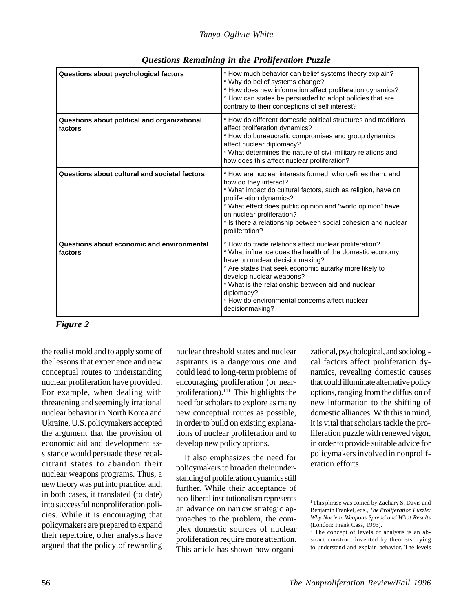| Questions about psychological factors                   | * How much behavior can belief systems theory explain?<br>* Why do belief systems change?<br>* How does new information affect proliferation dynamics?<br>* How can states be persuaded to adopt policies that are<br>contrary to their conceptions of self interest?                                                                                                                |
|---------------------------------------------------------|--------------------------------------------------------------------------------------------------------------------------------------------------------------------------------------------------------------------------------------------------------------------------------------------------------------------------------------------------------------------------------------|
| Questions about political and organizational<br>factors | * How do different domestic political structures and traditions<br>affect proliferation dynamics?<br>* How do bureaucratic compromises and group dynamics<br>affect nuclear diplomacy?<br>* What determines the nature of civil-military relations and<br>how does this affect nuclear proliferation?                                                                                |
| Questions about cultural and societal factors           | * How are nuclear interests formed, who defines them, and<br>how do they interact?<br>* What impact do cultural factors, such as religion, have on<br>proliferation dynamics?<br>* What effect does public opinion and "world opinion" have<br>on nuclear proliferation?<br>* Is there a relationship between social cohesion and nuclear<br>proliferation?                          |
| Questions about economic and environmental<br>factors   | * How do trade relations affect nuclear proliferation?<br>* What influence does the health of the domestic economy<br>have on nuclear decisionmaking?<br>* Are states that seek economic autarky more likely to<br>develop nuclear weapons?<br>* What is the relationship between aid and nuclear<br>diplomacy?<br>* How do environmental concerns affect nuclear<br>decisionmaking? |

#### *Questions Remaining in the Proliferation Puzzle*

#### *Figure 2*

the realist mold and to apply some of the lessons that experience and new conceptual routes to understanding nuclear proliferation have provided. For example, when dealing with threatening and seemingly irrational nuclear behavior in North Korea and Ukraine, U.S. policymakers accepted the argument that the provision of economic aid and development assistance would persuade these recalcitrant states to abandon their nuclear weapons programs. Thus, a new theory was put into practice, and, in both cases, it translated (to date) into successful nonproliferation policies. While it is encouraging that policymakers are prepared to expand their repertoire, other analysts have argued that the policy of rewarding nuclear threshold states and nuclear aspirants is a dangerous one and could lead to long-term problems of encouraging proliferation (or nearproliferation).111 This highlights the need for scholars to explore as many new conceptual routes as possible, in order to build on existing explanations of nuclear proliferation and to develop new policy options.

It also emphasizes the need for policymakers to broaden their understanding of proliferation dynamics still further. While their acceptance of neo-liberal institutionalism represents an advance on narrow strategic approaches to the problem, the complex domestic sources of nuclear proliferation require more attention. This article has shown how organizational, psychological, and sociological factors affect proliferation dynamics, revealing domestic causes that could illuminate alternative policy options, ranging from the diffusion of new information to the shifting of domestic alliances. With this in mind, it is vital that scholars tackle the proliferation puzzle with renewed vigor, in order to provide suitable advice for policymakers involved in nonproliferation efforts.

<sup>&</sup>lt;sup>1</sup> This phrase was coined by Zachary S. Davis and Benjamin Frankel, eds., *The Proliferation Puzzle: Why Nuclear Weapons Spread and What Results* (London: Frank Cass, 1993).

<sup>2</sup> The concept of levels of analysis is an abstract construct invented by theorists trying to understand and explain behavior. The levels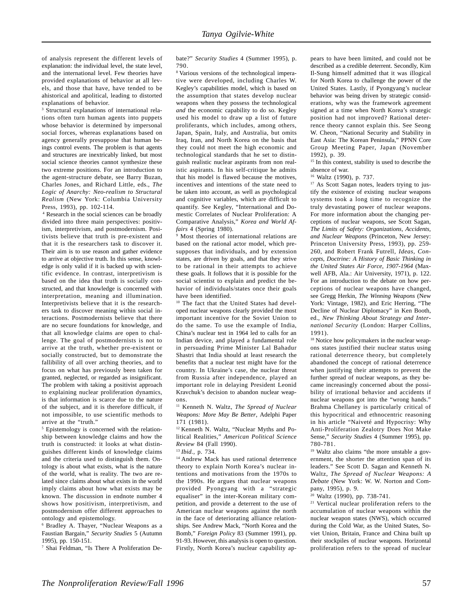of analysis represent the different levels of explanation: the individual level, the state level, and the international level. Few theories have provided explanations of behavior at all levels, and those that have, have tended to be ahistorical and apolitical, leading to distorted explanations of behavior.

3 Structural explanations of international relations often turn human agents into puppets whose behavior is determined by impersonal social forces, whereas explanations based on agency generally presuppose that human beings control events. The problem is that agents and structures are inextricably linked, but most social science theories cannot synthesize these two extreme positions. For an introduction to the agent-structure debate, see Barry Buzan, Charles Jones, and Richard Little, eds., *The Logic of Anarchy: Neo-realism to Structural Realism* (New York: Columbia University Press, 1993), pp. 102-114.

4 Research in the social sciences can be broadly divided into three main perspectives: positivism, interpretivism, and postmodernism. Positivists believe that truth is pre-existent and that it is the researchers task to discover it. Their aim is to use reason and gather evidence to arrive at objective truth. In this sense, knowledge is only valid if it is backed up with scientific evidence. In contrast, interpretivism is based on the idea that truth is socially constructed, and that knowledge is concerned with interpretation, meaning and illumination. Interpretivists believe that it is the researchers task to discover meaning within social interactions. Postmodernists believe that there are no secure foundations for knowledge, and that all knowledge claims are open to challenge. The goal of postmodernists is not to arrive at the truth, whether pre-existent or socially constructed, but to demonstrate the fallibility of all over arching theories, and to focus on what has previously been taken for granted, neglected, or regarded as insignificant. The problem with taking a positivist approach to explaining nuclear proliferation dynamics, is that information is scarce due to the nature of the subject, and it is therefore difficult, if not impossible, to use scientific methods to arrive at the "truth."

<sup>5</sup> Epistemology is concerned with the relationship between knowledge claims and how the truth is constructed: it looks at what distinguishes different kinds of knowledge claims and the criteria used to distinguish them. Ontology is about what exists, what is the nature of the world, what is reality. The two are related since claims about what exists in the world imply claims about how what exists may be known. The discussion in endnote number 4 shows how positivism, interpretivism, and postmodernism offer different approaches to ontology and epistemology.

6 Bradley A. Thayer, "Nuclear Weapons as a Faustian Bargain," *Security Studies* 5 (Autumn 1995), pp. 150-151.

7 Shai Feldman, "Is There A Proliferation De-

bate?" *Security Studies* 4 (Summer 1995), p. 790.

8 Various versions of the technological imperative were developed, including Charles W. Kegley's capabilities model, which is based on the assumption that states develop nuclear weapons when they possess the technological *and* the economic capability to do so. Kegley used his model to draw up a list of future proliferants, which includes, among others, Japan, Spain, Italy, and Australia, but omits Iraq, Iran, and North Korea on the basis that they could not meet the high economic and technological standards that he set to distinguish realistic nuclear aspirants from non realistic aspirants. In his self-critique he admits that his model is flawed because the motives, incentives and intentions of the state need to be taken into account, as well as psychological and cognitive variables, which are difficult to quantify. See Kegley, "International and Domestic Correlates of Nuclear Proliferation: A Comparative Analysis," *Korea and World Affairs* 4 (Spring 1980).

9 Most theories of international relations are based on the rational actor model, which presupposes that individuals, and by extension states, are driven by goals, and that they strive to be rational in their attempts to achieve these goals. It follows that it is possible for the social scientist to explain and predict the behavior of individuals/states once their goals have been identified.

10 The fact that the United States had developed nuclear weapons clearly provided the most important incentive for the Soviet Union to do the same. To use the example of India, China's nuclear test in 1964 led to calls for an Indian device, and played a fundamental role in persuading Prime Minister Lal Bahadur Shastri that India should at least research the benefits that a nuclear test might have for the country. In Ukraine's case, the nuclear threat from Russia after independence, played an important role in delaying President Leonid Kravchuk's decision to abandon nuclear weapons.

11 Kenneth N. Waltz, *The Spread of Nuclear Weapons: More May Be Better*, Adelphi Paper 171 (1981).

12 Kenneth N. Waltz, "Nuclear Myths and Political Realities," *American Political Science Review* 84 (Fall 1990).

<sup>13</sup>*Ibid.,* p. 734.

<sup>14</sup> Andrew Mack has used rational deterrence theory to explain North Korea's nuclear intentions and motivations from the 1970s to the 1990s. He argues that nuclear weapons provided Pyongyang with a "strategic equaliser" in the inter-Korean military competition, and provide a deterrent to the use of American nuclear weapons against the north in the face of deteriorating alliance relationships. See Andrew Mack, "North Korea and the Bomb," *Foreign Policy* 83 (Summer 1991), pp. 91-93. However, this analysis is open to question. Firstly, North Korea's nuclear capability ap-

pears to have been limited, and could not be described as a credible deterrent. Secondly, Kim Il-Sung himself admitted that it was illogical for North Korea to challenge the power of the United States. Lastly, if Pyongyang's nuclear behavior was being driven by strategic considerations, why was the framework agreement signed at a time when North Korea's strategic position had not improved? Rational deterrence theory cannot explain this. See Seong W. Cheon, "National Security and Stability in East Asia: The Korean Peninsula," PPNN Core Group Meeting Paper, Japan (November 1992), p. 39.

<sup>15</sup> In this context, stability is used to describe the absence of war.

16 Waltz (1990), p. 737.

<sup>17</sup> As Scott Sagan notes, leaders trying to justify the existence of existing nuclear weapons systems took a long time to recognize the truly devastating power of nuclear weapons. For more information about the changing perceptions of nuclear weapons, see Scott Sagan, *The Limits of Safety: Organizations, Accidents, and Nuclear Weapons* (Princeton, New Jersey: Princeton University Press, 1993), pp. 259- 260, and Robert Frank Futrell, *Ideas, Concepts, Doctrine: A History of Basic Thinking in the United States Air Force, 1907-1964* (Maxwell AFB, Ala.: Air University, 1971), p. 122. For an introduction to the debate on how perceptions of nuclear weapons have changed, see Gregg Herkin, *The Winning Weapons* (New York: Vintage, 1982), and Eric Herring, "The Decline of Nuclear Diplomacy" in Ken Booth, ed., *New Thinking About Strategy and International Security* (London: Harper Collins, 1991).

<sup>18</sup> Notice how policymakers in the nuclear weapons states justified their nuclear status using rational deterrence theory, but completely abandoned the concept of rational deterrence when justifying their attempts to prevent the further spread of nuclear weapons, as they became increasingly concerned about the possibility of irrational behavior and accidents if nuclear weapons got into the "wrong hands." Brahma Chellaney is particularly critical of this hypocritical and ethnocentric reasoning in his article "Naiveté and Hypocrisy: Why Anti-Proliferation Zealotry Does Not Make Sense," *Security Studies* 4 (Summer 1995), pp. 780-781.

19 Waltz also claims "the more unstable a government, the shorter the attention span of its leaders." See Scott D. Sagan and Kenneth N. Waltz, *The Spread of Nuclear Weapons: A Debate* (New York: W. W. Norton and Company, 1995), p. 9.

20 Waltz (1990), pp. 738-741.

21 Vertical nuclear proliferation refers to the accumulation of nuclear weapons within the nuclear weapon states (NWS), which occurred during the Cold War, as the United States, Soviet Union, Britain, France and China built up their stockpiles of nuclear weapons. Horizontal proliferation refers to the spread of nuclear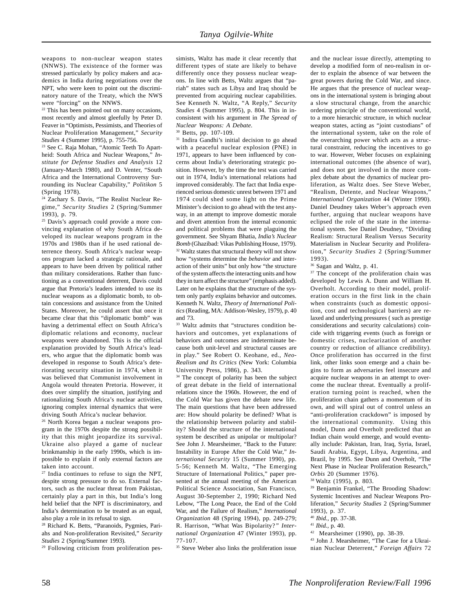weapons to non-nuclear weapon states (NNWS). The existence of the former was stressed particularly by policy makers and academics in India during negotiations over the NPT, who were keen to point out the discriminatory nature of the Treaty, which the NWS were "forcing" on the NNWS.

22 This has been pointed out on many occasions, most recently and almost gleefully by Peter D. Feaver in "Optimists, Pessimists, and Theories of Nuclear Proliferation Management," *Security Studies* 4 (Summer 1995), p. 755-756.

23 See C. Raja Mohan, "Atomic Teeth To Apartheid: South Africa and Nuclear Weapons," *Institute for Defense Studies and Analysis* 12 (January-March 1980), and D. Venter, "South Africa and the International Controversy Surrounding its Nuclear Capability," *Politikon* 5 (Spring 1978).

24 Zachary S. Davis, "The Realist Nuclear Regime," *Security Studies* 2 (Spring/Summer 1993), p. 79.

25 Davis's approach could provide a more convincing explanation of why South Africa developed its nuclear weapons program in the 1970s and 1980s than if he used rational deterrence theory. South Africa's nuclear weapons program lacked a strategic rationale, and appears to have been driven by political rather than military considerations. Rather than functioning as a conventional deterrent, Davis could argue that Pretoria's leaders intended to use its nuclear weapons as a diplomatic bomb, to obtain concessions and assistance from the United States. Moreover, he could assert that once it became clear that this "diplomatic bomb" was having a detrimental effect on South Africa's diplomatic relations and economy, nuclear weapons were abandoned. This is the official explanation provided by South Africa's leaders, who argue that the diplomatic bomb was developed in response to South Africa's deteriorating security situation in 1974, when it was believed that Communist involvement in Angola would threaten Pretoria. However, it does over simplify the situation, justifying and rationalizing South Africa's nuclear activities, ignoring complex internal dynamics that were driving South Africa's nuclear behavior.

26 North Korea began a nuclear weapons program in the 1970s despite the strong possibility that this might jeopardize its survival. Ukraine also played a game of nuclear brinkmanship in the early 1990s, which is impossible to explain if only external factors are taken into account.

 $27$  India continues to refuse to sign the NPT, despite strong pressure to do so. External factors, such as the nuclear threat from Pakistan, certainly play a part in this, but India's long held belief that the NPT is discriminatory, and India's determination to be treated as an equal, also play a role in its refusal to sign.

28 Richard K. Betts, "Paranoids, Pygmies, Pariahs and Non-proliferation Revisited," *Security Studies* 2 (Spring/Summer 1993).

29 Following criticism from proliferation pes-

simists, Waltz has made it clear recently that different types of state are likely to behave differently once they possess nuclear weapons. In line with Betts, Waltz argues that "pariah" states such as Libya and Iraq should be prevented from acquiring nuclear capabilities. See Kenneth N. Waltz, "A Reply," *Security Studies* 4 (Summer 1995), p. 804. This in inconsistent with his argument in *The Spread of Nuclear Weapons: A Debate.*

30 Betts, pp. 107-109.

31 Indira Gandhi's initial decision to go ahead with a peaceful nuclear explosion (PNE) in 1971, appears to have been influenced by concerns about India's deteriorating strategic position. However, by the time the test was carried out in 1974, India's international relations had improved considerably. The fact that India experienced serious domestic unrest between 1971 and 1974 could shed some light on the Prime Minister's decision to go ahead with the test anyway, in an attempt to improve domestic morale and divert attention from the internal economic and political problems that were plaguing the government. See Shyam Bhatia, *India's Nuclear Bomb* (Ghazibad: Vikas Publishing House, 1979). <sup>32</sup> Waltz states that structural theory will not show how "systems determine the *behavior* and interaction of their units" but only how "the structure of the system affects the interacting units and how they in turn affect the structure" (emphasis added). Later on he explains that the structure of the system only partly explains behavior and outcomes. Kenneth N. Waltz, *Theory of International Politics* (Reading, MA: Addison-Wesley, 1979), p. 40 and 73.

33 Waltz admits that "structures condition behaviors and outcomes, yet explanations of behaviors and outcomes are indeterminate because both unit-level and structural causes are in play." See Robert O. Keohane, ed., *Neo-Realism and Its Critics* (New York: Columbia University Press, 1986), p. 343.

<sup>34</sup> The concept of polarity has been the subject of great debate in the field of international relations since the 1960s. However, the end of the Cold War has given the debate new life. The main questions that have been addressed are: How should polarity be defined? What is the relationship between polarity and stability? Should the structure of the international system be described as unipolar or multipolar? See John J. Mearsheimer, "Back to the Future: Instability in Europe After the Cold War," *International Security* 15 (Summer 1990), pp. 5-56; Kenneth M. Waltz, "The Emerging Structure of International Politics," paper presented at the annual meeting of the American Political Science Association, San Francisco, August 30-September 2, 1990; Richard Ned Lebow, "The Long Peace, the End of the Cold War, and the Failure of Realism," *International Organization* 48 (Spring 1994), pp. 249-279; R. Harrison, "What Was Bipolarity?*" International Organization* 47 (Winter 1993), pp. 77-107.

<sup>35</sup> Steve Weber also links the proliferation issue

and the nuclear issue directly, attempting to develop a modified form of neo-realism in order to explain the absence of war between the great powers during the Cold War, and since. He argues that the presence of nuclear weapons in the international system is bringing about a slow structural change, from the anarchic ordering principle of the conventional world, to a more hierarchic structure, in which nuclear weapon states, acting as "joint custodians" of the international system, take on the role of the overarching power which acts as a structural constraint, reducing the incentives to go to war. However, Weber focuses on explaining international outcomes (the absence of war), and does not get involved in the more complex debate about the dynamics of nuclear proliferation, as Waltz does. See Steve Weber, "Realism, Detente, and Nuclear Weapons," *International Organization* 44 (Winter 1990). Daniel Deudney takes Weber's approach even further, arguing that nuclear weapons have eclipsed the role of the state in the international system. See Daniel Deudney, "Dividing Realism: Structural Realism Versus Security Materialism in Nuclear Security and Proliferation," *Security Studies* 2 (Spring/Summer 1993).

36 Sagan and Waltz, p. 41.

<sup>37</sup> The concept of the proliferation chain was developed by Lewis A. Dunn and William H. Overholt. According to their model, proliferation occurs in the first link in the chain when constraints (such as domestic opposition, cost and technological barriers) are relaxed and underlying pressures ( such as prestige considerations and security calculations) coincide with triggering events (such as foreign or domestic crises, nuclearization of another country or reduction of alliance credibility). Once proliferation has occurred in the first link, other links soon emerge and a chain begins to form as adversaries feel insecure and acquire nuclear weapons in an attempt to overcome the nuclear threat. Eventually a proliferation turning point is reached, when the proliferation chain gathers a momentum of its own, and will spiral out of control unless an "anti-proliferation crackdown" is imposed by the international community. Using this model, Dunn and Overholt predicted that an Indian chain would emerge, and would eventually include: Pakistan, Iran, Iraq, Syria, Israel, Saudi Arabia, Egypt, Libya, Argentina, and Brazil, by 1995. See Dunn and Overholt, "The Next Phase in Nuclear Proliferation Research," *Orbis* 20 (Summer 1976).

38 Waltz (1995), p. 803.

39 Benjamin Frankel, "The Brooding Shadow: Systemic Incentives and Nuclear Weapons Proliferation," *Security Studies* 2 (Spring/Summer 1993), p. 37.

<sup>40</sup> *Ibid.,* pp. 37-38.

<sup>41</sup> *Ibid.,* p. 40.

42 Mearsheimer (1990), pp. 38-39.

43 John J. Mearsheimer, "The Case for a Ukrainian Nuclear Deterrent," *Foreign Affairs* 72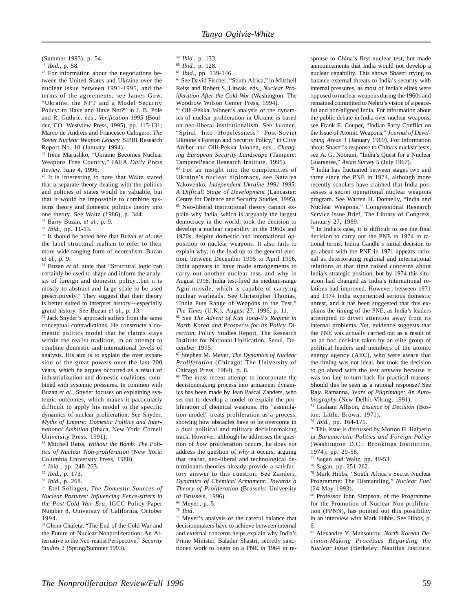(Summer 1993), p. 54.

<sup>44</sup> *Ibid.,* p. 58.

45 For information about the negotiations between the United States and Ukraine over the nuclear issue between 1991-1995, and the terms of the agreements, see James Gow, "Ukraine, the NPT and a Model Security Policy: to Have and Have Not?" in J. B. Pole and R. Guthrie, eds., *Verification 1995* (Boulder, CO: Westview Press, 1995), pp. 115-131; Marco de Andreis and Francesco Calogero, *The Soviet Nuclear Weapon Legacy,* SIPRI Research Report No. 10 (January 1994).

46 Irene Marushko, "Ukraine Becomes Nuclear Weapons Free Country," IAEA *Daily Press Review,* June 4, 1996.

47 It is interesting to note that Waltz stated that a separate theory dealing with the politics and policies of states would be valuable, but that it would be impossible to combine systems theory and domestic politics theory into one theory. See Waltz (1986), p. 344.

48 Barry Buzan, *et al.,* p. 9.

<sup>49</sup> *Ibid.,* pp. 11-13.

50 It should be noted here that Buzan *et al.* use the label structural realism to refer to their more wide-ranging form of neorealism. Buzan *et al.,* p. 9.

51 Buzan *et al.* state that "Structural logic can certainly be used to shape and inform the analysis of foreign and domestic policy...but it is mostly to abstract and large scale to be used prescriptively." They suggest that their theory is better suited to interpret history—especially grand history. See Buzan *et al.,* p. 13.

52 Jack Snyder's approach suffers from the same conceptual contradictions. He constructs a domestic politics model that he claims stays within the realist tradition, in an attempt to combine domestic and international levels of analysis. His aim is to explain the over expansion of the great powers over the last 200 years, which he argues occurred as a result of industrialization and domestic coalitions, combined with systemic pressures. In common with Buzan *et al.,* Snyder focuses on explaining systemic outcomes, which makes it particularly difficult to apply his model to the specific dynamics of nuclear proliferation. See Snyder, *Myths of Empire: Domestic Politics and International Ambition* (Ithaca, New York: Cornell University Press, 1991).

53 Mitchell Reiss, *Without the Bomb: The Politics of Nuclear Non-proliferation* (New York: Columbia University Press, 1988).

- <sup>54</sup> *Ibid.,* pp. 248-263.
- <sup>55</sup> *Ibid.,* p. 173.
- <sup>56</sup> *Ibid.,* p. 268.

57 Etel Solingen, *The Domestic Sources of Nuclear Postures: Influencing Fence-sitters in the Post-Cold War Era,* IGCC Policy Paper Number 8, University of California, October 1994.

58 Glenn Chafetz, "The End of the Cold War and the Future of Nuclear Nonproliferation: An Alternative to the Neo-realist Perspective," *Security Studies* 2 (Spring/Summer 1993).

<sup>61</sup> *Ibid.,* pp. 139-146.

62 See David Fischer, "South Africa," in Mitchell Reiss and Robert S. Litwak, eds., *Nuclear Proliferation After the Cold War* (Washington: The Woodrow Wilson Center Press, 1994).

63 Olli-Pekka Jalonen's analysis of the dynamics of nuclear proliferation in Ukraine is based on neo-liberal institutionalism. See Jalonen, "Spiral Into Hopelessness? Post-Soviet Ukraine's Foreign and Security Policy," in Clive Archer and Olli-Pekka Jalonen, eds., *Changing European Security Landscape* (Tampere: TamperePeace Research Institute, 1995).

64 For an insight into the complexities of Ukraine's nuclear diplomacy, see Natalya Yakovenko, *Independent Ukraine 1991-1995: A Difficult Stage of Development* (Lancaster: Centre for Defence and Security Studies, 1995). 65 Neo-liberal institutional theory cannot explain why India, which is arguably the largest democracy in the world, took the decision to develop a nuclear capability in the 1960s and 1970s, despite domestic and international opposition to nuclear weapons. It also fails to explain why, in the lead up to the general election, between December 1995 to April 1996, India appears to have made arrangements to carry out another nuclear test, and why in August 1996, India test-fired its medium-range Agni missile, which is capable of carrying nuclear warheads. See Christopher Thomas, "India Puts Range of Weapons to the Test," *The Times* (U.K.), August 27, 1996, p. 11.

66 See *The Advent of Kim Jong-il's Regime in North Korea and Prospects for its Policy Direction*, Policy Studies Report, The Research Institute for National Unification, Seoul, December 1995.

67 Stephen M. Meyer, *The Dynamics of Nuclear Proliferation* (Chicago: The University of Chicago Press, 1984), p. 6.

68 The most recent attempt to incorporate the decisionmaking process into armament dynamics has been made by Jean Pascal Zanders, who set out to develop a model to explain the proliferation of chemical weapons. His "assimilation model" treats proliferation as a process, showing how obstacles have to be overcome in a dual political and military decisionmaking track. However, although he addresses the question of *how* proliferation occurs, he does not address the question of *why* it occurs, arguing that realist, neo-liberal and technological determinants theories already provide a satisfactory answer to this question. See Zanders, *Dynamics of Chemical Armament: Towards a Theory of Proliferation* (Brussels: University of Brussels, 1996).

69 Meyer., p. 5.

<sup>70</sup> *Ibid*.

71 Meyer's analysis of the careful balance that decisionmakers have to achieve between internal and external concerns helps explain why India's Prime Minister, Baladur Shastri, secretly sanctioned work to begin on a PNE in 1964 in response to China's first nuclear test, but made announcements that India would not develop a nuclear capability. This shows Shastri trying to balance external threats to India's security with internal pressures, as most of India's elites were opposed to nuclear weapons during the 1960s and remained committed to Nehru's vision of a peaceful and non-aligned India. For information about the public debate in India over nuclear weapons, see Frank E. Couper, "Indian Party Conflict on the Issue of Atomic Weapons," *Journal of Developing Areas* 3 (January 1969). For information about Shastri's response to China's nuclear tests, see A. G. Noorani, "India's Quest for a Nuclear Guarantee," *Asian Survey* 5 (July 1967).

72 India has fluctuated between stages two and three since the PNE in 1974, although more recently scholars have claimed that India possesses a secret operational nuclear weapons program. See Warren H. Donnelly, "India and Nuclear Weapons," Congressional Research Service Issue Brief, The Library of Congress, January 27, 1989.

73 In India's case, it is difficult to see the final decision to carry out the PNE in 1974 in rational terms. Indira Gandhi's initial decision to go ahead with the PNE in 1971 appears rational as deteriorating regional and international relations at that time raised concerns about India's strategic position, but by 1974 this situation had changed as India's international relations had improved. However, between 1971 and 1974 India experienced serious domestic unrest, and it has been suggested that this explains the timing of the PNE, as India's leaders attempted to divert attention away from its internal problems. Yet, evidence suggests that the PNE was actually carried out as a result of an ad hoc decision taken by an elite group of political leaders and members of the atomic energy agency (AEC), who were aware that the timing was not ideal, but took the decision to go ahead with the test anyway because it was too late to turn back for practical reasons. Should this be seen as a rational response? See Raja Ramanna, *Years of Pilgrimage: An Autobiography* (New Delhi: Viking, 1991).

74 Graham Allison, *Essence of Decision* (Boston: Little, Brown, 1971).

76 This issue is discussed by Morton H. Halperin in *Bureaucratic Politics and Foreign Policy* (Washington D.C.: Brookings Institution, 1974), pp. 29-58.

77 Sagan and Waltz, pp. 49-53.

78 Sagan, pp. 251-262.

79 Mark Hibbs, "South Africa's Secret Nuclear Programme: The Dismantling," *Nuclear Fuel* (24 May 1993).

80 Professor John Simpson, of the Programme for the Promotion of Nuclear Non-proliferation (PPNN), has pointed out this possibility in an interview with Mark Hibbs. See Hibbs, p. 6.

81 Alexandre Y. Mansourov, *North Korean Decision-Making Processes Regarding the Nuclear Issue* (Berkeley: Nautilus Institute,

<sup>59</sup> *Ibid.,* p. 133.

<sup>60</sup> *Ibid.,* p. 128.

<sup>75</sup> *Ibid.,* pp. 164-171.